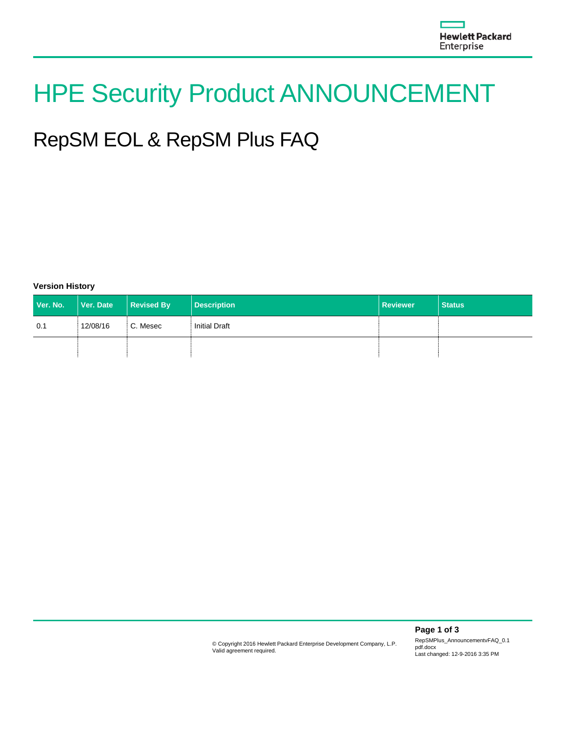# HPE Security Product ANNOUNCEMENT

## RepSM EOL & RepSM Plus FAQ

**Version History**

| Ver. No. | Ver. Date | Revised By | Description          | <b>Reviewer</b> | <b>Status</b> |
|----------|-----------|------------|----------------------|-----------------|---------------|
| 0.1      | 12/08/16  | C. Mesec   | <b>Initial Draft</b> |                 |               |
|          |           |            |                      |                 |               |

RepSMPlus\_AnnouncementvFAQ\_0.1 pdf.docx Last changed: 12-9-2016 3:35 PM

**Page 1 of 3**

© Copyright 2016 Hewlett Packard Enterprise Development Company, L.P. Valid agreement required.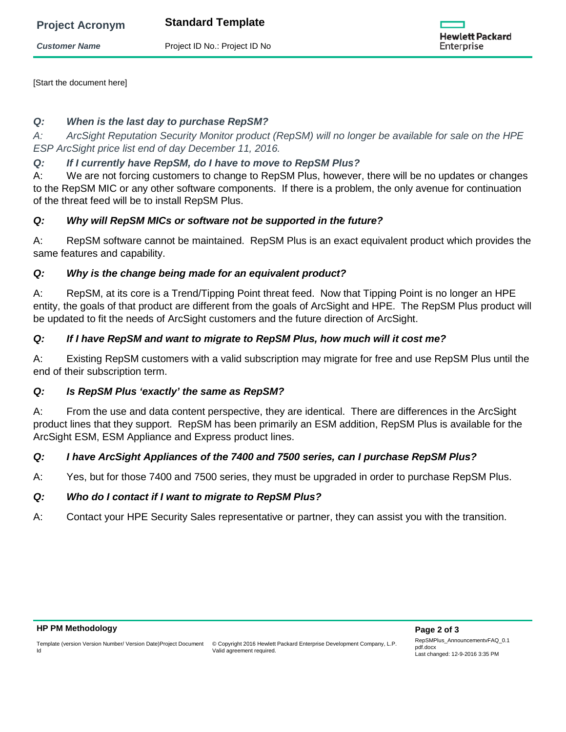|  | <b>Project Acronym</b> |  |
|--|------------------------|--|
|  |                        |  |

**Standard Template** 

**Customer Name** Project ID No.: Project ID No



[Start the document here]

#### *Q: When is the last day to purchase RepSM?*

*A: ArcSight Reputation Security Monitor product (RepSM) will no longer be available for sale on the HPE ESP ArcSight price list end of day December 11, 2016.* 

### *Q: If I currently have RepSM, do I have to move to RepSM Plus?*

A: We are not forcing customers to change to RepSM Plus, however, there will be no updates or changes to the RepSM MIC or any other software components. If there is a problem, the only avenue for continuation of the threat feed will be to install RepSM Plus.

### *Q: Why will RepSM MICs or software not be supported in the future?*

A: RepSM software cannot be maintained. RepSM Plus is an exact equivalent product which provides the same features and capability.

#### *Q: Why is the change being made for an equivalent product?*

A: RepSM, at its core is a Trend/Tipping Point threat feed. Now that Tipping Point is no longer an HPE entity, the goals of that product are different from the goals of ArcSight and HPE. The RepSM Plus product will be updated to fit the needs of ArcSight customers and the future direction of ArcSight.

### *Q: If I have RepSM and want to migrate to RepSM Plus, how much will it cost me?*

A: Existing RepSM customers with a valid subscription may migrate for free and use RepSM Plus until the end of their subscription term.

#### *Q: Is RepSM Plus 'exactly' the same as RepSM?*

A: From the use and data content perspective, they are identical. There are differences in the ArcSight product lines that they support. RepSM has been primarily an ESM addition, RepSM Plus is available for the ArcSight ESM, ESM Appliance and Express product lines.

#### *Q: I have ArcSight Appliances of the 7400 and 7500 series, can I purchase RepSM Plus?*

A: Yes, but for those 7400 and 7500 series, they must be upgraded in order to purchase RepSM Plus.

#### *Q: Who do I contact if I want to migrate to RepSM Plus?*

A: Contact your HPE Security Sales representative or partner, they can assist you with the transition.

Id

Template (version Version Number/ Version Date)Project Document

© Copyright 2016 Hewlett Packard Enterprise Development Company, L.P. Valid agreement required.

RepSMPlus\_AnnouncementvFAQ\_0.1 pdf.docx Last changed: 12-9-2016 3:35 PM